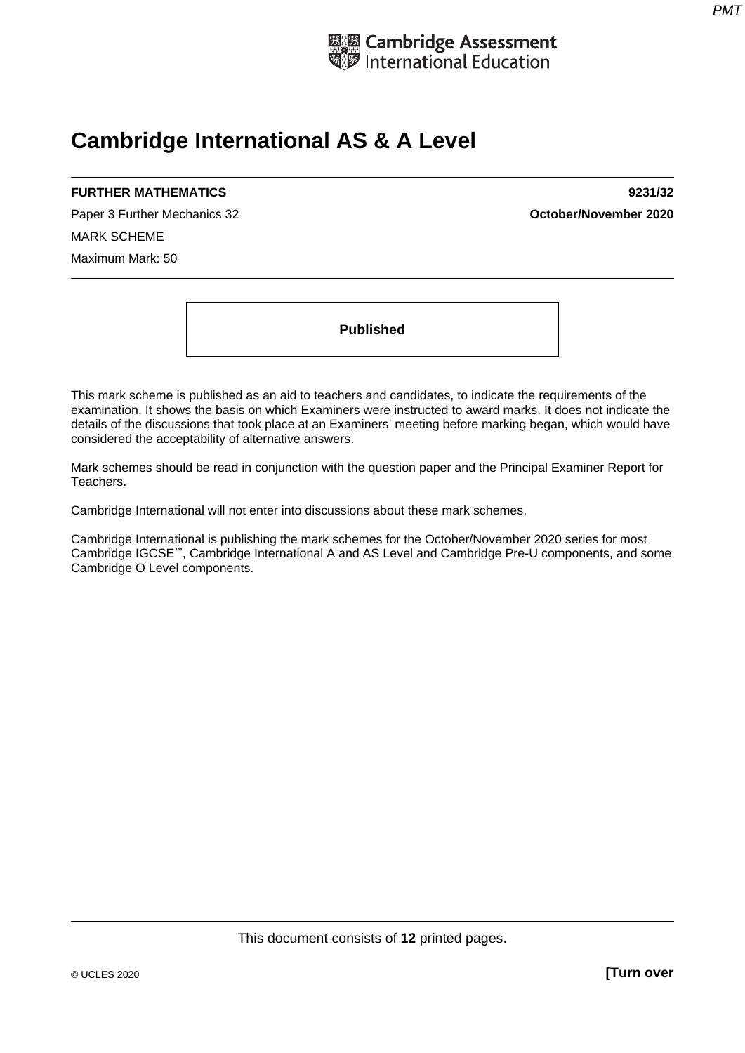

# **Cambridge International AS & A Level**

# **FURTHER MATHEMATICS 9231/32**

Paper 3 Further Mechanics 32 **October/November 2020** MARK SCHEME Maximum Mark: 50

**Published** 

This mark scheme is published as an aid to teachers and candidates, to indicate the requirements of the examination. It shows the basis on which Examiners were instructed to award marks. It does not indicate the details of the discussions that took place at an Examiners' meeting before marking began, which would have considered the acceptability of alternative answers.

Mark schemes should be read in conjunction with the question paper and the Principal Examiner Report for Teachers.

Cambridge International will not enter into discussions about these mark schemes.

Cambridge International is publishing the mark schemes for the October/November 2020 series for most Cambridge IGCSE™, Cambridge International A and AS Level and Cambridge Pre-U components, and some Cambridge O Level components.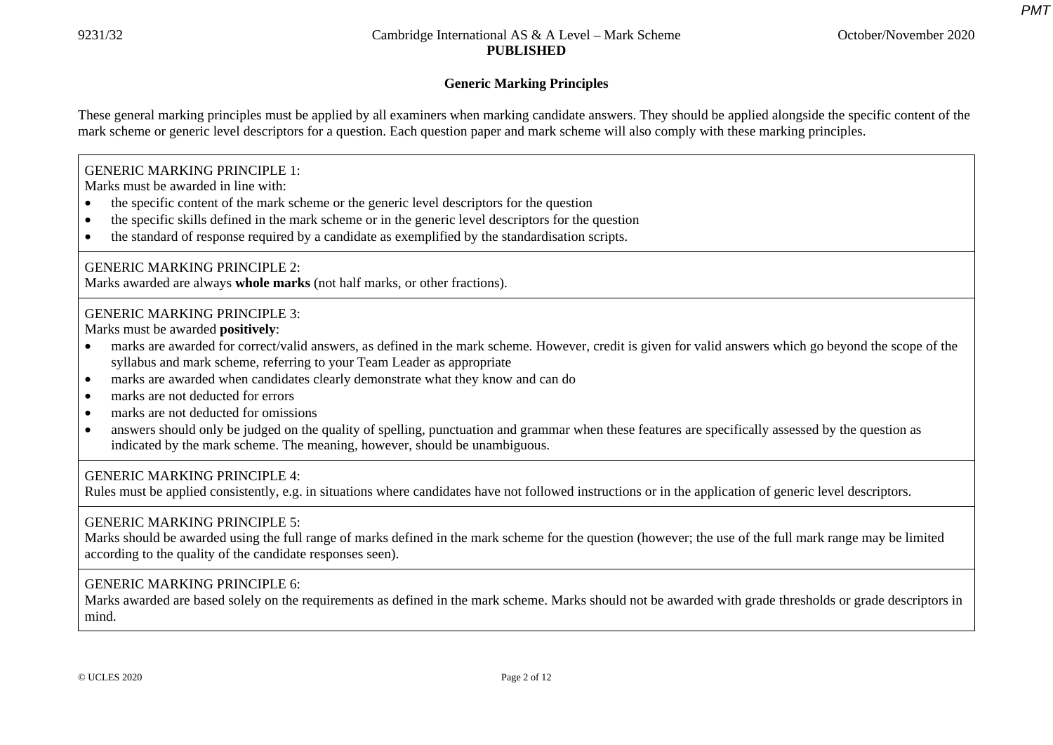*PMT*

# **Generic Marking Principles**

These general marking principles must be applied by all examiners when marking candidate answers. They should be applied alongside the specific content of the mark scheme or generic level descriptors for a question. Each question paper and mark scheme will also comply with these marking principles.

## GENERIC MARKING PRINCIPLE 1:

Marks must be awarded in line with:

- •the specific content of the mark scheme or the generic level descriptors for the question
- •the specific skills defined in the mark scheme or in the generic level descriptors for the question
- •the standard of response required by a candidate as exemplified by the standardisation scripts.

#### GENERIC MARKING PRINCIPLE 2:

Marks awarded are always **whole marks** (not half marks, or other fractions).

## GENERIC MARKING PRINCIPLE 3:

Marks must be awarded **positively**:

- • marks are awarded for correct/valid answers, as defined in the mark scheme. However, credit is given for valid answers which go beyond the scope of the syllabus and mark scheme, referring to your Team Leader as appropriate
- •marks are awarded when candidates clearly demonstrate what they know and can do
- •marks are not deducted for errors
- •marks are not deducted for omissions
- • answers should only be judged on the quality of spelling, punctuation and grammar when these features are specifically assessed by the question as indicated by the mark scheme. The meaning, however, should be unambiguous.

## GENERIC MARKING PRINCIPLE 4:

Rules must be applied consistently, e.g. in situations where candidates have not followed instructions or in the application of generic level descriptors.

## GENERIC MARKING PRINCIPLE 5:

Marks should be awarded using the full range of marks defined in the mark scheme for the question (however; the use of the full mark range may be limited according to the quality of the candidate responses seen).

## GENERIC MARKING PRINCIPLE 6:

Marks awarded are based solely on the requirements as defined in the mark scheme. Marks should not be awarded with grade thresholds or grade descriptors in mind.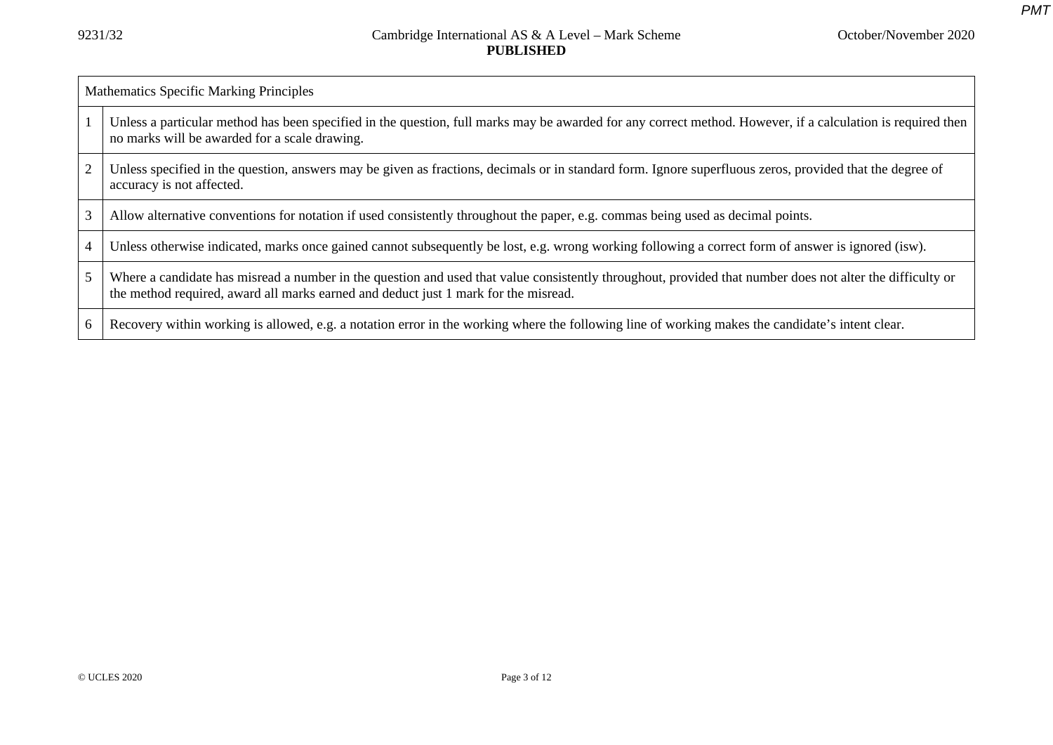|                | Mathematics Specific Marking Principles                                                                                                                                                                                                          |  |  |  |  |
|----------------|--------------------------------------------------------------------------------------------------------------------------------------------------------------------------------------------------------------------------------------------------|--|--|--|--|
|                | Unless a particular method has been specified in the question, full marks may be awarded for any correct method. However, if a calculation is required then<br>no marks will be awarded for a scale drawing.                                     |  |  |  |  |
| $\overline{2}$ | Unless specified in the question, answers may be given as fractions, decimals or in standard form. Ignore superfluous zeros, provided that the degree of<br>accuracy is not affected.                                                            |  |  |  |  |
|                | Allow alternative conventions for notation if used consistently throughout the paper, e.g. commas being used as decimal points.                                                                                                                  |  |  |  |  |
|                | Unless otherwise indicated, marks once gained cannot subsequently be lost, e.g. wrong working following a correct form of answer is ignored (isw).                                                                                               |  |  |  |  |
| 5              | Where a candidate has misread a number in the question and used that value consistently throughout, provided that number does not alter the difficulty or<br>the method required, award all marks earned and deduct just 1 mark for the misread. |  |  |  |  |
|                | Recovery within working is allowed, e.g. a notation error in the working where the following line of working makes the candidate's intent clear.                                                                                                 |  |  |  |  |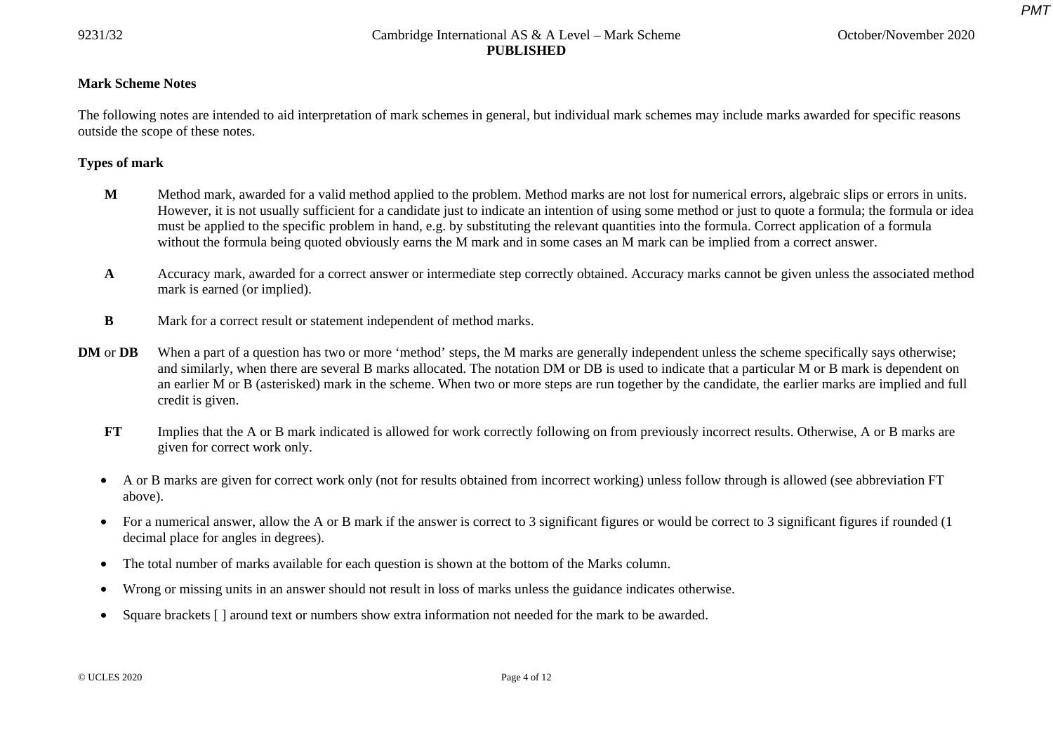*PMT*

## **Mark Scheme Notes**

The following notes are intended to aid interpretation of mark schemes in general, but individual mark schemes may include marks awarded for specific reasons outside the scope of these notes.

## **Types of mark**

- **M** Method mark, awarded for a valid method applied to the problem. Method marks are not lost for numerical errors, algebraic slips or errors in units. However, it is not usually sufficient for a candidate just to indicate an intention of using some method or just to quote a formula; the formula or idea must be applied to the specific problem in hand, e.g. by substituting the relevant quantities into the formula. Correct application of a formula without the formula being quoted obviously earns the M mark and in some cases an M mark can be implied from a correct answer.
- **A** Accuracy mark, awarded for a correct answer or intermediate step correctly obtained. Accuracy marks cannot be given unless the associated method mark is earned (or implied).
- **B** Mark for a correct result or statement independent of method marks.
- **DM** or **DB** When a part of a question has two or more 'method' steps, the M marks are generally independent unless the scheme specifically says otherwise; and similarly, when there are several B marks allocated. The notation DM or DB is used to indicate that a particular M or B mark is dependent on an earlier M or B (asterisked) mark in the scheme. When two or more steps are run together by the candidate, the earlier marks are implied and full credit is given.
	- **FT** Implies that the A or B mark indicated is allowed for work correctly following on from previously incorrect results. Otherwise, A or B marks are given for correct work only.
	- A or B marks are given for correct work only (not for results obtained from incorrect working) unless follow through is allowed (see abbreviation FT above).
	- For a numerical answer, allow the A or B mark if the answer is correct to 3 significant figures or would be correct to 3 significant figures if rounded (1) decimal place for angles in degrees).
	- •The total number of marks available for each question is shown at the bottom of the Marks column.
	- •Wrong or missing units in an answer should not result in loss of marks unless the guidance indicates otherwise.
	- •Square brackets [ ] around text or numbers show extra information not needed for the mark to be awarded.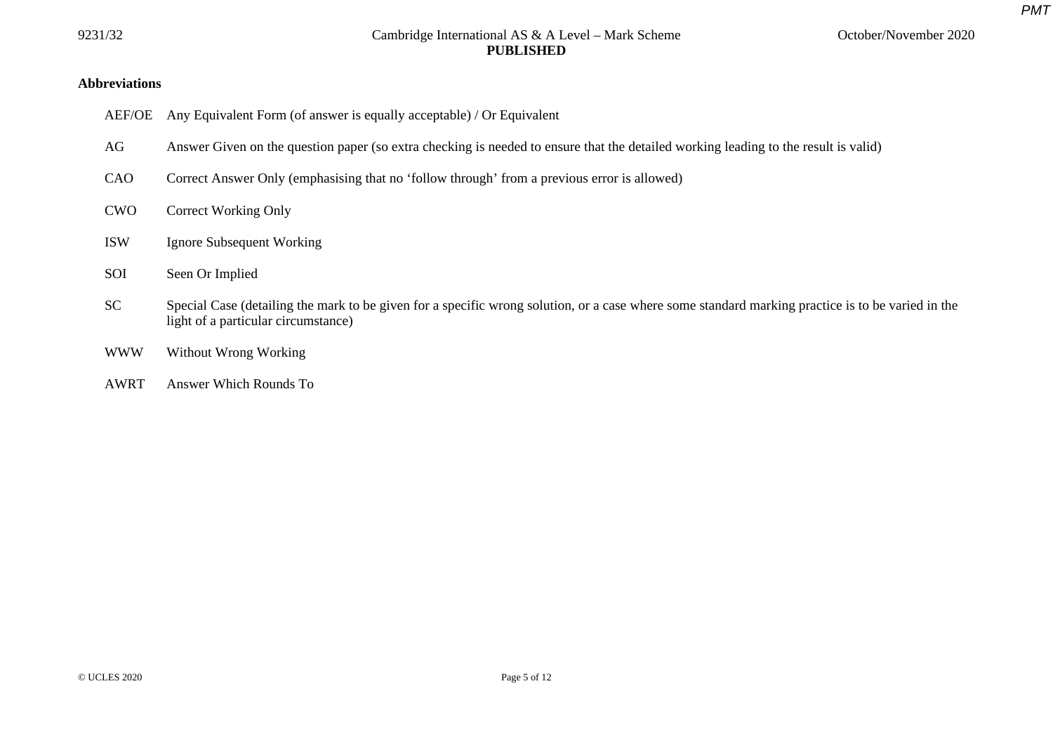*PMT*

## **Abbreviations**

- AEF/OE Any Equivalent Form (of answer is equally acceptable) / Or Equivalent
- AG Answer Given on the question paper (so extra checking is needed to ensure that the detailed working leading to the result is valid)
- CAO Correct Answer Only (emphasising that no 'follow through' from a previous error is allowed)
- CWO Correct Working Only
- ISW Ignore Subsequent Working
- SOI Seen Or Implied
- SC Special Case (detailing the mark to be given for a specific wrong solution, or a case where some standard marking practice is to be varied in the light of a particular circumstance)
- WWW Without Wrong Working
- AWRT Answer Which Rounds To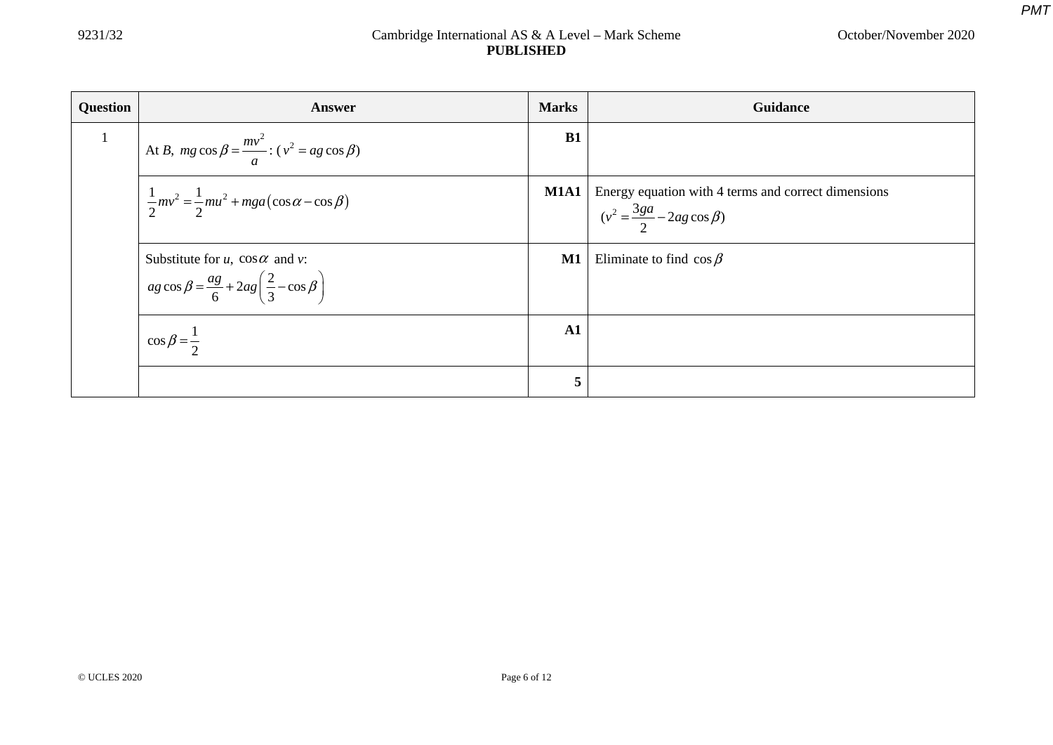| <b>Question</b> | Answer                                                                                                                    | <b>Marks</b>  | Guidance                                                                                      |
|-----------------|---------------------------------------------------------------------------------------------------------------------------|---------------|-----------------------------------------------------------------------------------------------|
|                 | At B, $mg \cos \beta = \frac{mv^2}{a}$ : $(v^2 = ag \cos \beta)$                                                          | B1            |                                                                                               |
|                 | $\frac{1}{2}mv^2 = \frac{1}{2}mu^2 + mga(\cos\alpha - \cos\beta)$                                                         | M1A1          | Energy equation with 4 terms and correct dimensions<br>$(v^2 = \frac{3ga}{2} - 2ag\cos\beta)$ |
|                 | Substitute for u, $\cos \alpha$ and v:<br>$\int$ ag cos $\beta = \frac{ag}{6} + 2ag\left(\frac{2}{3} - \cos \beta\right)$ | $\mathbf{M1}$ | Eliminate to find $\cos \beta$                                                                |
|                 | $\cos \beta = \frac{1}{2}$                                                                                                | $\mathbf{A1}$ |                                                                                               |
|                 |                                                                                                                           | 5             |                                                                                               |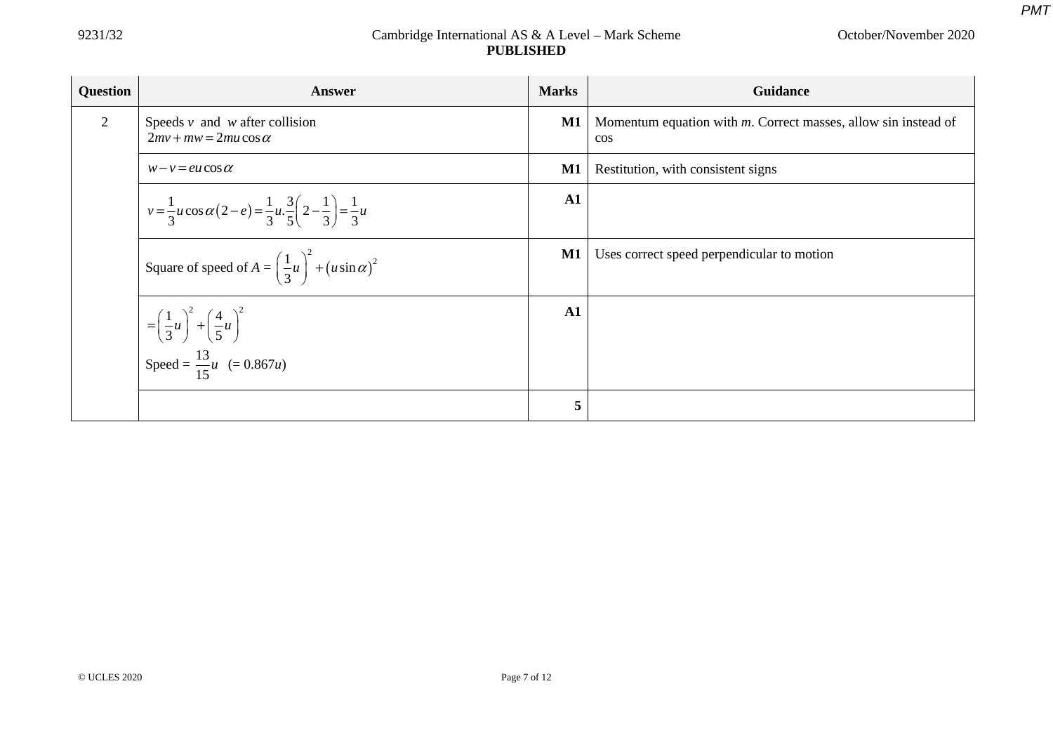| <b>Question</b> | <b>Answer</b>                                                                                                    | <b>Marks</b>  | <b>Guidance</b>                                                             |
|-----------------|------------------------------------------------------------------------------------------------------------------|---------------|-----------------------------------------------------------------------------|
| 2               | Speeds $v$ and $w$ after collision<br>$2mv + mw = 2mu \cos \alpha$                                               | M1            | Momentum equation with $m$ . Correct masses, allow sin instead of<br>$\cos$ |
|                 | $w-v = eu \cos \alpha$                                                                                           | M1            | Restitution, with consistent signs                                          |
|                 | $v = \frac{1}{3}u\cos\alpha(2-e) = \frac{1}{3}u\cdot\frac{3}{5}\left(2-\frac{1}{3}\right) = \frac{1}{3}u$        | $\mathbf{A1}$ |                                                                             |
|                 | Square of speed of $A = \left(\frac{1}{3}u\right)^2 + (u\sin\alpha)^2$                                           | $\mathbf{M1}$ | Uses correct speed perpendicular to motion                                  |
|                 | $=\left(\frac{1}{3}u\right)^{2} + \left(\frac{4}{5}u\right)^{2}$<br>Speed = $\frac{13}{15}u$ (= 0.867 <i>u</i> ) | A1            |                                                                             |
|                 |                                                                                                                  |               |                                                                             |
|                 |                                                                                                                  | 5             |                                                                             |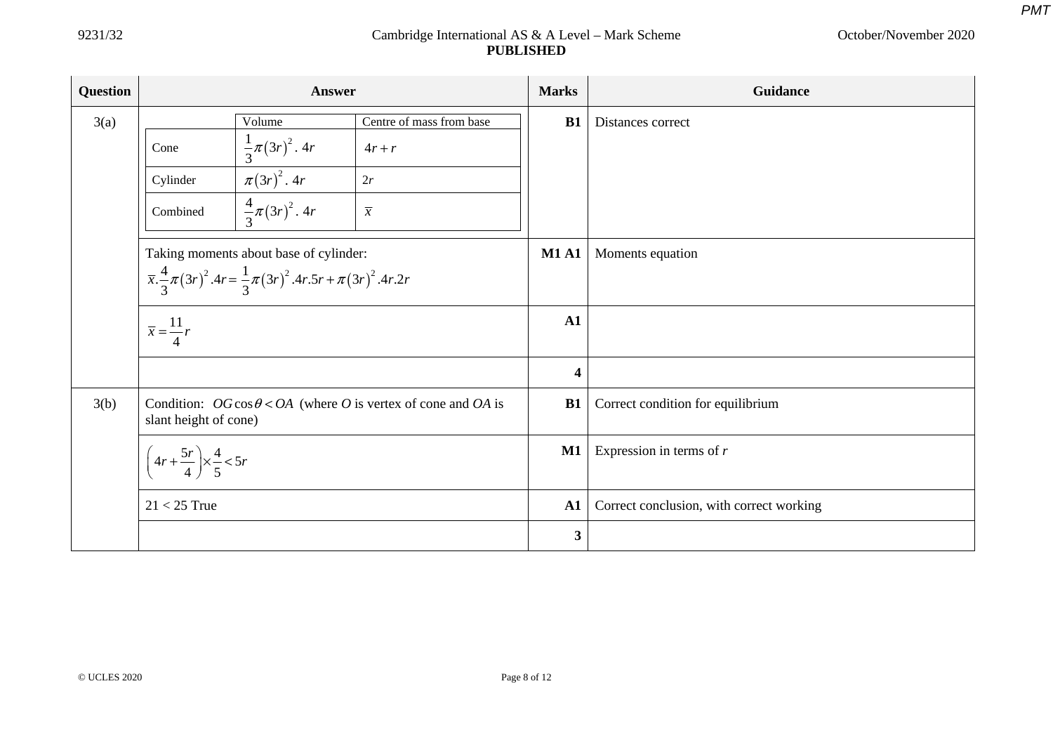| Question | Answer                                                                                         |                              | <b>Marks</b>             | Guidance                                 |                   |
|----------|------------------------------------------------------------------------------------------------|------------------------------|--------------------------|------------------------------------------|-------------------|
| 3(a)     |                                                                                                | Volume                       | Centre of mass from base | B1                                       | Distances correct |
|          | Cone                                                                                           | $\frac{1}{3}\pi (3r)^2$ . 4r | $4r+r$                   |                                          |                   |
|          | Cylinder                                                                                       | $\pi(3r)^2$ . 4r             | 2r                       |                                          |                   |
|          | Combined                                                                                       | $\frac{4}{3}\pi (3r)^2$ . 4r | $\overline{x}$           |                                          |                   |
|          | Taking moments about base of cylinder:                                                         |                              | <b>M1 A1</b>             | Moments equation                         |                   |
|          | $\bar{x}.\frac{4}{3}\pi(3r)^2.4r = \frac{1}{3}\pi(3r)^2.4r.5r + \pi(3r)^2.4r.2r$               |                              |                          |                                          |                   |
|          | $\overline{x} = \frac{11}{r}r$                                                                 |                              | A1                       |                                          |                   |
|          |                                                                                                |                              |                          | $\overline{\mathbf{4}}$                  |                   |
| 3(b)     | Condition: $OG \cos \theta < OA$ (where O is vertex of cone and OA is<br>slant height of cone) |                              | B1                       | Correct condition for equilibrium        |                   |
|          | $\left(4r+\frac{5r}{4}\right) \times \frac{4}{5} < 5r$                                         |                              | $\mathbf{M1}$            | Expression in terms of $r$               |                   |
|          | $21 < 25$ True                                                                                 |                              | A1                       | Correct conclusion, with correct working |                   |
|          |                                                                                                |                              |                          | $\overline{\mathbf{3}}$                  |                   |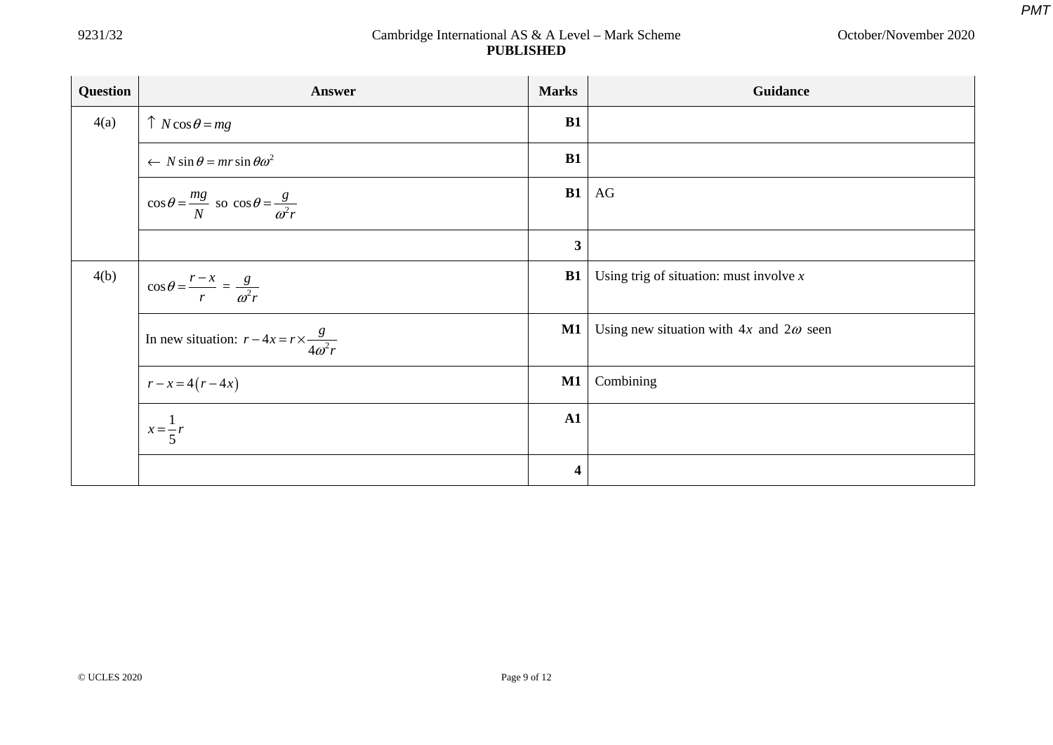| <b>Question</b> | <b>Answer</b>                                                      | <b>Marks</b>            | Guidance                                              |
|-----------------|--------------------------------------------------------------------|-------------------------|-------------------------------------------------------|
| 4(a)            | $\uparrow$ N cos $\theta$ = mg                                     | B1                      |                                                       |
|                 | $\leftarrow$ N sin $\theta$ = mr sin $\theta \omega^2$             | <b>B1</b>               |                                                       |
|                 | $\cos\theta = \frac{mg}{N}$ so $\cos\theta = \frac{g}{\omega^2 r}$ |                         | $B1$ AG                                               |
|                 |                                                                    | $\mathbf{3}$            |                                                       |
| 4(b)            | $\cos\theta = \frac{r-x}{r} = \frac{g}{\omega^2 r}$                |                         | <b>B1</b>   Using trig of situation: must involve $x$ |
|                 | In new situation: $r - 4x = r \times \frac{g}{4\omega^2 r}$        | M1                      | Using new situation with $4x$ and $2\omega$ seen      |
|                 | $r-x=4(r-4x)$                                                      | $\mathbf{M1}$           | Combining                                             |
|                 | $x = \frac{1}{5}r$                                                 | ${\bf A1}$              |                                                       |
|                 |                                                                    | $\overline{\mathbf{4}}$ |                                                       |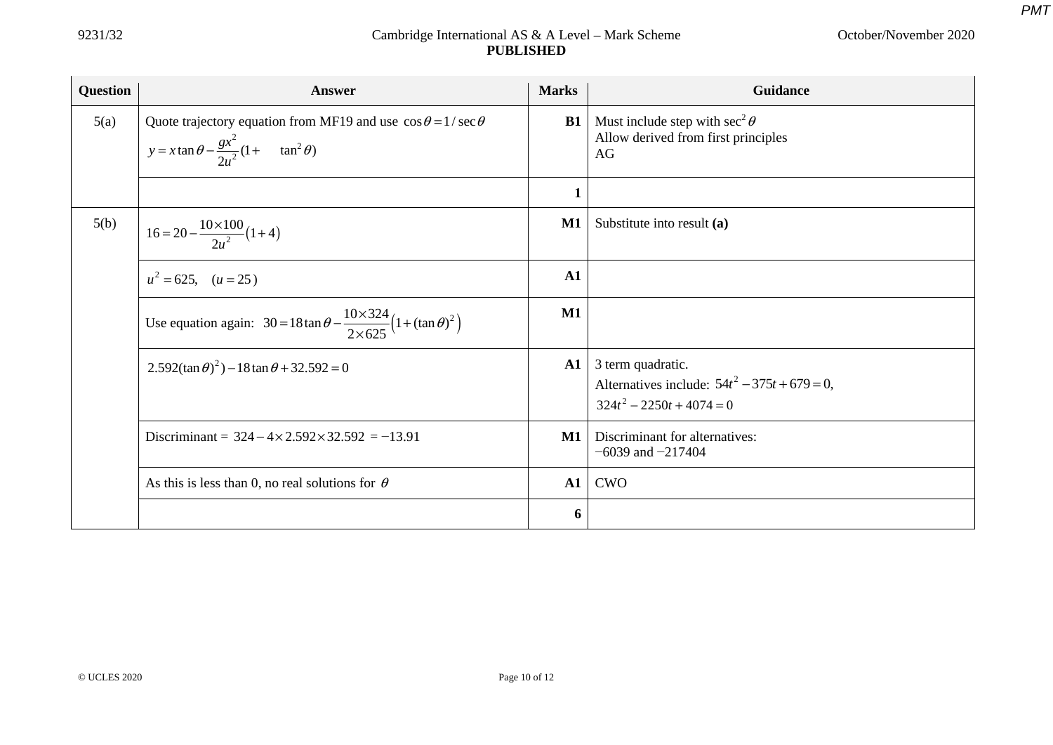| Question | Answer                                                                                                                                 | <b>Marks</b>  | Guidance                                                                                             |
|----------|----------------------------------------------------------------------------------------------------------------------------------------|---------------|------------------------------------------------------------------------------------------------------|
| 5(a)     | Quote trajectory equation from MF19 and use $\cos\theta = 1/\sec\theta$<br>$y = x \tan \theta - \frac{gx^2}{2u^2} (1 + \tan^2 \theta)$ | B1            | Must include step with $\sec^2 \theta$<br>Allow derived from first principles<br>AG                  |
|          |                                                                                                                                        |               |                                                                                                      |
| 5(b)     | $16 = 20 - \frac{10 \times 100}{2u^2} (1 + 4)$                                                                                         | $\mathbf{M1}$ | Substitute into result (a)                                                                           |
|          | $u^2 = 625$ , $(u = 25)$                                                                                                               | A1            |                                                                                                      |
|          | Use equation again: $30 = 18 \tan \theta - \frac{10 \times 324}{2 \times 625} (1 + (\tan \theta)^2)$                                   | M1            |                                                                                                      |
|          | $2.592(\tan \theta)^2$ ) – 18tan $\theta$ + 32.592 = 0                                                                                 | ${\bf A1}$    | 3 term quadratic.<br>Alternatives include: $54t^2 - 375t + 679 = 0$ ,<br>$324t^2 - 2250t + 4074 = 0$ |
|          | Discriminant = $324 - 4 \times 2.592 \times 32.592 = -13.91$                                                                           | M1            | Discriminant for alternatives:<br>$-6039$ and $-217404$                                              |
|          | As this is less than 0, no real solutions for $\theta$                                                                                 | A1            | <b>CWO</b>                                                                                           |
|          |                                                                                                                                        | 6             |                                                                                                      |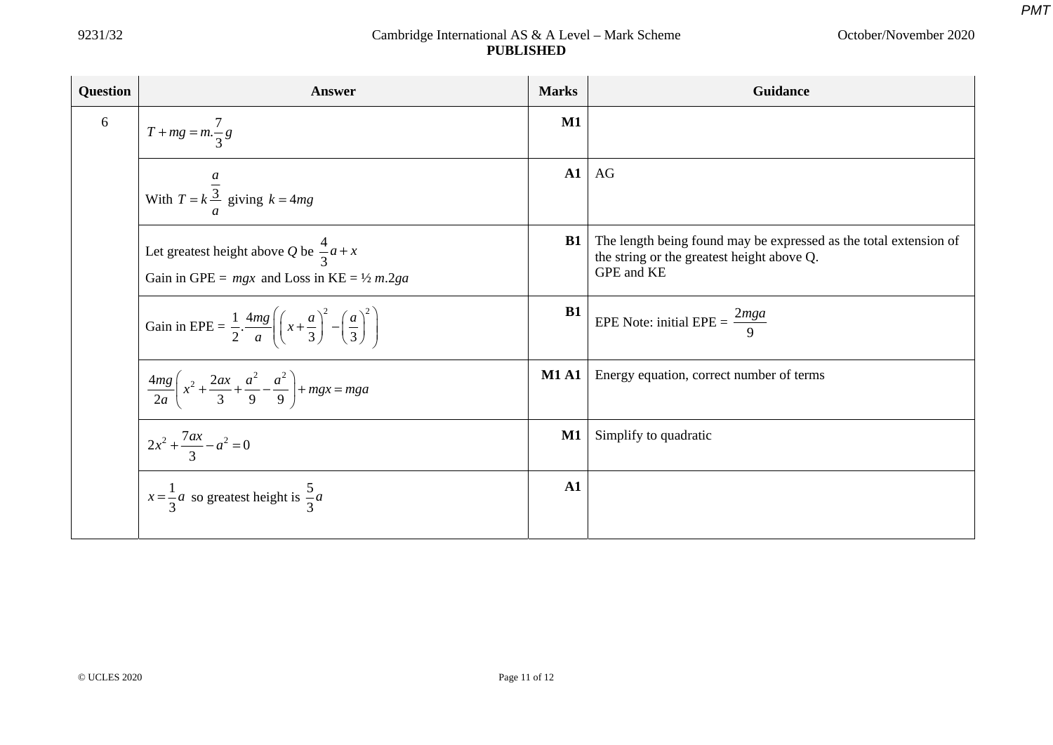| <b>Question</b> | Answer                                                                                                                         | <b>Marks</b>  | Guidance                                                                                                                      |
|-----------------|--------------------------------------------------------------------------------------------------------------------------------|---------------|-------------------------------------------------------------------------------------------------------------------------------|
| 6               | $T + mg = m.\frac{7}{3}g$                                                                                                      | $\mathbf{M1}$ |                                                                                                                               |
|                 | With $T = k \frac{3}{3}$ giving $k = 4mg$                                                                                      | ${\bf A1}$    | AG                                                                                                                            |
|                 | Let greatest height above Q be $\frac{4}{3}a + x$<br>Gain in GPE = $mgx$ and Loss in KE = $\frac{1}{2}$ m.2ga                  | <b>B1</b>     | The length being found may be expressed as the total extension of<br>the string or the greatest height above Q.<br>GPE and KE |
|                 | Gain in EPE = $\frac{1}{2} \cdot \frac{4mg}{a} \left( \left( x + \frac{a}{3} \right)^2 - \left( \frac{a}{3} \right)^2 \right)$ | B1            | EPE Note: initial EPE = $\frac{2mga}{9}$                                                                                      |
|                 | $rac{4mg}{2a}$ $\left(x^2 + \frac{2ax}{3} + \frac{a^2}{9} - \frac{a^2}{9}\right)$ + mgx = mga                                  | <b>M1 A1</b>  | Energy equation, correct number of terms                                                                                      |
|                 | $2x^2 + \frac{7ax}{3} - a^2 = 0$                                                                                               | $\mathbf{M1}$ | Simplify to quadratic                                                                                                         |
|                 | $x = \frac{1}{3}a$ so greatest height is $\frac{5}{3}a$                                                                        | $\mathbf{A1}$ |                                                                                                                               |